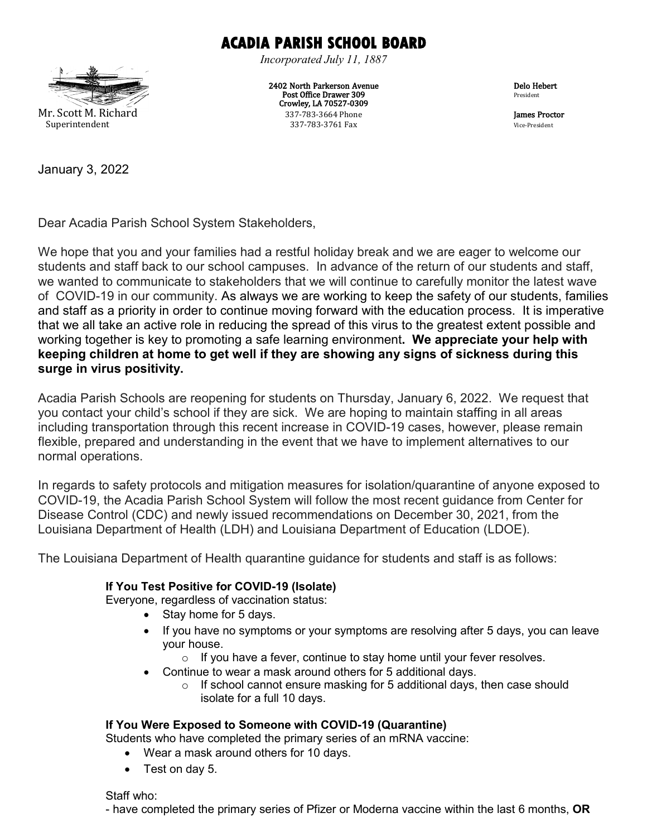## **ACADIA PARISH SCHOOL BOARD**

*Incorporated July 11, 1887*

2402 North Parkerson Avenue Post Office Drawer 309 Crowley, LA 70527-0309 337-783-3664 Phone Superintendent 337-783-3761 Fax Vice-President

Delo Hebert President

**James Proctor**<br>Vice-President

Mr. Scott M. Richard

January 3, 2022

Dear Acadia Parish School System Stakeholders,

We hope that you and your families had a restful holiday break and we are eager to welcome our students and staff back to our school campuses. In advance of the return of our students and staff, we wanted to communicate to stakeholders that we will continue to carefully monitor the latest wave of COVID-19 in our community. As always we are working to keep the safety of our students, families and staff as a priority in order to continue moving forward with the education process. It is imperative that we all take an active role in reducing the spread of this virus to the greatest extent possible and working together is key to promoting a safe learning environment**. We appreciate your help with keeping children at home to get well if they are showing any signs of sickness during this surge in virus positivity.** 

Acadia Parish Schools are reopening for students on Thursday, January 6, 2022. We request that you contact your child's school if they are sick. We are hoping to maintain staffing in all areas including transportation through this recent increase in COVID-19 cases, however, please remain flexible, prepared and understanding in the event that we have to implement alternatives to our normal operations.

In regards to safety protocols and mitigation measures for isolation/quarantine of anyone exposed to COVID-19, the Acadia Parish School System will follow the most recent guidance from Center for Disease Control (CDC) and newly issued recommendations on December 30, 2021, from the Louisiana Department of Health (LDH) and Louisiana Department of Education (LDOE).

The Louisiana Department of Health quarantine guidance for students and staff is as follows:

## **If You Test Positive for COVID-19 (Isolate)**

Everyone, regardless of vaccination status:

- Stay home for 5 days.
- If you have no symptoms or your symptoms are resolving after 5 days, you can leave your house.
	- $\circ$  If you have a fever, continue to stay home until your fever resolves.
- Continue to wear a mask around others for 5 additional days.
	- o If school cannot ensure masking for 5 additional days, then case should isolate for a full 10 days.

## **If You Were Exposed to Someone with COVID-19 (Quarantine)**

Students who have completed the primary series of an mRNA vaccine:

- Wear a mask around others for 10 days.
- Test on day 5.

Staff who:

- have completed the primary series of Pfizer or Moderna vaccine within the last 6 months, **OR**